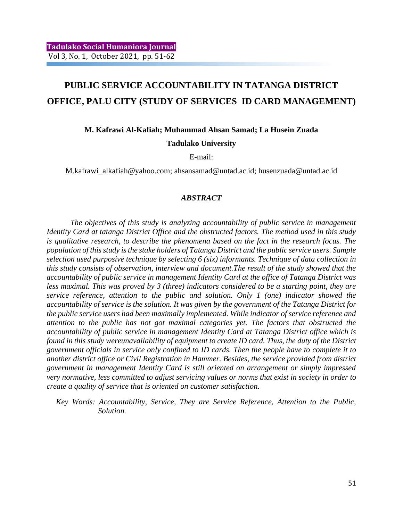# **PUBLIC SERVICE ACCOUNTABILITY IN TATANGA DISTRICT OFFICE, PALU CITY (STUDY OF SERVICES ID CARD MANAGEMENT)**

## **M. Kafrawi Al-Kafiah; Muhammad Ahsan Samad; La Husein Zuada Tadulako University**

E-mail:

M.kafrawi\_alkafiah@yahoo.com; ahsansamad@untad.ac.id; husenzuada@untad.ac.id

### *ABSTRACT*

*The objectives of this study is analyzing accountability of public service in management Identity Card at tatanga District Office and the obstructed factors. The method used in this study is qualitative research, to describe the phenomena based on the fact in the research focus. The population of this study is the stake holders of Tatanga District and the public service users. Sample selection used purposive technique by selecting 6 (six) informants. Technique of data collection in this study consists of observation, interview and document.The result of the study showed that the accountability of public service in management Identity Card at the office of Tatanga District was less maximal. This was proved by 3 (three) indicators considered to be a starting point, they are service reference, attention to the public and solution. Only 1 (one) indicator showed the accountability of service is the solution. It was given by the government of the Tatanga District for the public service users had been maximally implemented. While indicator of service reference and attention to the public has not got maximal categories yet. The factors that obstructed the accountability of public service in management Identity Card at Tatanga District office which is found in this study wereunavailability of equipment to create ID card. Thus, the duty of the District government officials in service only confined to ID cards. Then the people have to complete it to another district office or Civil Registration in Hammer. Besides, the service provided from district government in management Identity Card is still oriented on arrangement or simply impressed very normative, less committed to adjust servicing values or norms that exist in society in order to create a quality of service that is oriented on customer satisfaction.*

*Key Words: Accountability, Service, They are Service Reference, Attention to the Public, Solution.*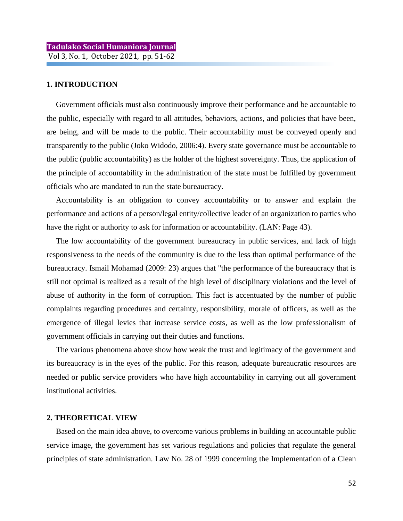### **1. INTRODUCTION**

Government officials must also continuously improve their performance and be accountable to the public, especially with regard to all attitudes, behaviors, actions, and policies that have been, are being, and will be made to the public. Their accountability must be conveyed openly and transparently to the public (Joko Widodo, 2006:4). Every state governance must be accountable to the public (public accountability) as the holder of the highest sovereignty. Thus, the application of the principle of accountability in the administration of the state must be fulfilled by government officials who are mandated to run the state bureaucracy.

Accountability is an obligation to convey accountability or to answer and explain the performance and actions of a person/legal entity/collective leader of an organization to parties who have the right or authority to ask for information or accountability. (LAN: Page 43).

The low accountability of the government bureaucracy in public services, and lack of high responsiveness to the needs of the community is due to the less than optimal performance of the bureaucracy. Ismail Mohamad (2009: 23) argues that "the performance of the bureaucracy that is still not optimal is realized as a result of the high level of disciplinary violations and the level of abuse of authority in the form of corruption. This fact is accentuated by the number of public complaints regarding procedures and certainty, responsibility, morale of officers, as well as the emergence of illegal levies that increase service costs, as well as the low professionalism of government officials in carrying out their duties and functions.

The various phenomena above show how weak the trust and legitimacy of the government and its bureaucracy is in the eyes of the public. For this reason, adequate bureaucratic resources are needed or public service providers who have high accountability in carrying out all government institutional activities.

#### **2. THEORETICAL VIEW**

Based on the main idea above, to overcome various problems in building an accountable public service image, the government has set various regulations and policies that regulate the general principles of state administration. Law No. 28 of 1999 concerning the Implementation of a Clean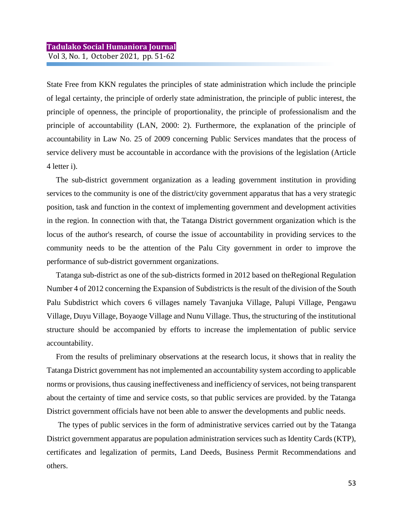State Free from KKN regulates the principles of state administration which include the principle of legal certainty, the principle of orderly state administration, the principle of public interest, the principle of openness, the principle of proportionality, the principle of professionalism and the principle of accountability (LAN, 2000: 2). Furthermore, the explanation of the principle of accountability in Law No. 25 of 2009 concerning Public Services mandates that the process of service delivery must be accountable in accordance with the provisions of the legislation (Article 4 letter i).

The sub-district government organization as a leading government institution in providing services to the community is one of the district/city government apparatus that has a very strategic position, task and function in the context of implementing government and development activities in the region. In connection with that, the Tatanga District government organization which is the locus of the author's research, of course the issue of accountability in providing services to the community needs to be the attention of the Palu City government in order to improve the performance of sub-district government organizations.

Tatanga sub-district as one of the sub-districts formed in 2012 based on theRegional Regulation Number 4 of 2012 concerning the Expansion of Subdistricts is the result of the division of the South Palu Subdistrict which covers 6 villages namely Tavanjuka Village, Palupi Village, Pengawu Village, Duyu Village, Boyaoge Village and Nunu Village. Thus, the structuring of the institutional structure should be accompanied by efforts to increase the implementation of public service accountability.

From the results of preliminary observations at the research locus, it shows that in reality the Tatanga District government has not implemented an accountability system according to applicable norms or provisions, thus causing ineffectiveness and inefficiency of services, not being transparent about the certainty of time and service costs, so that public services are provided. by the Tatanga District government officials have not been able to answer the developments and public needs.

The types of public services in the form of administrative services carried out by the Tatanga District government apparatus are population administration services such as Identity Cards (KTP), certificates and legalization of permits, Land Deeds, Business Permit Recommendations and others.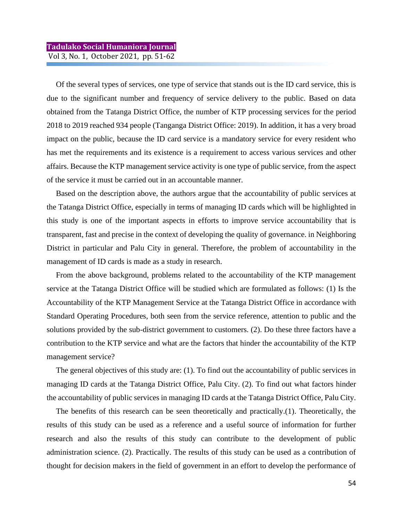Of the several types of services, one type of service that stands out is the ID card service, this is due to the significant number and frequency of service delivery to the public. Based on data obtained from the Tatanga District Office, the number of KTP processing services for the period 2018 to 2019 reached 934 people (Tanganga District Office: 2019). In addition, it has a very broad impact on the public, because the ID card service is a mandatory service for every resident who has met the requirements and its existence is a requirement to access various services and other affairs. Because the KTP management service activity is one type of public service, from the aspect of the service it must be carried out in an accountable manner.

Based on the description above, the authors argue that the accountability of public services at the Tatanga District Office, especially in terms of managing ID cards which will be highlighted in this study is one of the important aspects in efforts to improve service accountability that is transparent, fast and precise in the context of developing the quality of governance. in Neighboring District in particular and Palu City in general. Therefore, the problem of accountability in the management of ID cards is made as a study in research.

From the above background, problems related to the accountability of the KTP management service at the Tatanga District Office will be studied which are formulated as follows: (1) Is the Accountability of the KTP Management Service at the Tatanga District Office in accordance with Standard Operating Procedures, both seen from the service reference, attention to public and the solutions provided by the sub-district government to customers. (2). Do these three factors have a contribution to the KTP service and what are the factors that hinder the accountability of the KTP management service?

The general objectives of this study are: (1). To find out the accountability of public services in managing ID cards at the Tatanga District Office, Palu City. (2). To find out what factors hinder the accountability of public services in managing ID cards at the Tatanga District Office, Palu City.

The benefits of this research can be seen theoretically and practically.(1). Theoretically, the results of this study can be used as a reference and a useful source of information for further research and also the results of this study can contribute to the development of public administration science. (2). Practically. The results of this study can be used as a contribution of thought for decision makers in the field of government in an effort to develop the performance of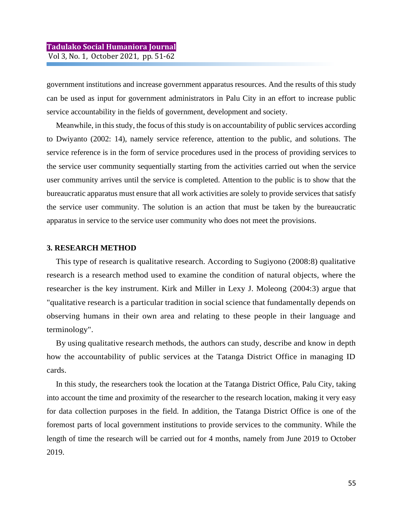government institutions and increase government apparatus resources. And the results of this study can be used as input for government administrators in Palu City in an effort to increase public service accountability in the fields of government, development and society.

Meanwhile, in this study, the focus of this study is on accountability of public services according to Dwiyanto (2002: 14), namely service reference, attention to the public, and solutions. The service reference is in the form of service procedures used in the process of providing services to the service user community sequentially starting from the activities carried out when the service user community arrives until the service is completed. Attention to the public is to show that the bureaucratic apparatus must ensure that all work activities are solely to provide services that satisfy the service user community. The solution is an action that must be taken by the bureaucratic apparatus in service to the service user community who does not meet the provisions.

### **3. RESEARCH METHOD**

This type of research is qualitative research. According to Sugiyono (2008:8) qualitative research is a research method used to examine the condition of natural objects, where the researcher is the key instrument. Kirk and Miller in Lexy J. Moleong (2004:3) argue that "qualitative research is a particular tradition in social science that fundamentally depends on observing humans in their own area and relating to these people in their language and terminology".

By using qualitative research methods, the authors can study, describe and know in depth how the accountability of public services at the Tatanga District Office in managing ID cards.

In this study, the researchers took the location at the Tatanga District Office, Palu City, taking into account the time and proximity of the researcher to the research location, making it very easy for data collection purposes in the field. In addition, the Tatanga District Office is one of the foremost parts of local government institutions to provide services to the community. While the length of time the research will be carried out for 4 months, namely from June 2019 to October 2019.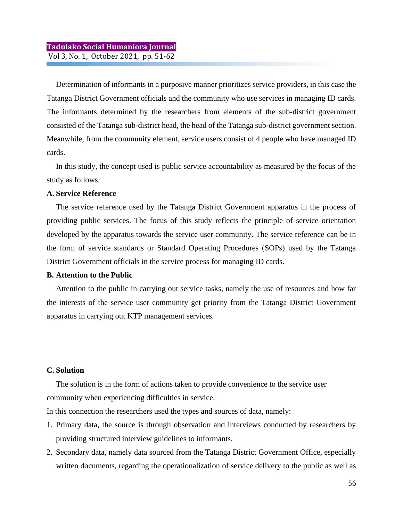Determination of informants in a purposive manner prioritizes service providers, in this case the Tatanga District Government officials and the community who use services in managing ID cards. The informants determined by the researchers from elements of the sub-district government consisted of the Tatanga sub-district head, the head of the Tatanga sub-district government section. Meanwhile, from the community element, service users consist of 4 people who have managed ID cards.

In this study, the concept used is public service accountability as measured by the focus of the study as follows:

### **A. Service Reference**

The service reference used by the Tatanga District Government apparatus in the process of providing public services. The focus of this study reflects the principle of service orientation developed by the apparatus towards the service user community. The service reference can be in the form of service standards or Standard Operating Procedures (SOPs) used by the Tatanga District Government officials in the service process for managing ID cards.

### **B. Attention to the Public**

Attention to the public in carrying out service tasks, namely the use of resources and how far the interests of the service user community get priority from the Tatanga District Government apparatus in carrying out KTP management services.

### **C. Solution**

The solution is in the form of actions taken to provide convenience to the service user community when experiencing difficulties in service.

In this connection the researchers used the types and sources of data, namely:

- 1. Primary data, the source is through observation and interviews conducted by researchers by providing structured interview guidelines to informants.
- 2. Secondary data, namely data sourced from the Tatanga District Government Office, especially written documents, regarding the operationalization of service delivery to the public as well as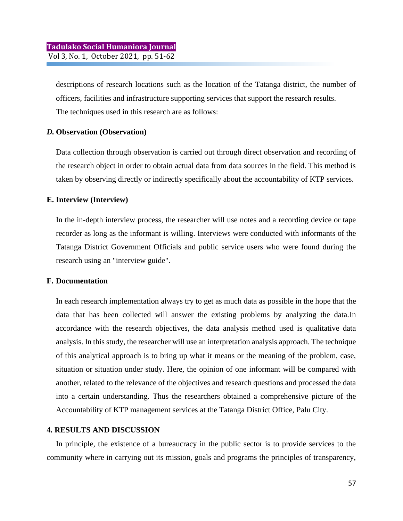descriptions of research locations such as the location of the Tatanga district, the number of officers, facilities and infrastructure supporting services that support the research results. The techniques used in this research are as follows:

### *D.* **Observation (Observation)**

Data collection through observation is carried out through direct observation and recording of the research object in order to obtain actual data from data sources in the field. This method is taken by observing directly or indirectly specifically about the accountability of KTP services.

### **E. Interview (Interview)**

In the in-depth interview process, the researcher will use notes and a recording device or tape recorder as long as the informant is willing. Interviews were conducted with informants of the Tatanga District Government Officials and public service users who were found during the research using an "interview guide".

### **F. Documentation**

In each research implementation always try to get as much data as possible in the hope that the data that has been collected will answer the existing problems by analyzing the data.In accordance with the research objectives, the data analysis method used is qualitative data analysis. In this study, the researcher will use an interpretation analysis approach. The technique of this analytical approach is to bring up what it means or the meaning of the problem, case, situation or situation under study. Here, the opinion of one informant will be compared with another, related to the relevance of the objectives and research questions and processed the data into a certain understanding. Thus the researchers obtained a comprehensive picture of the Accountability of KTP management services at the Tatanga District Office, Palu City.

### **4. RESULTS AND DISCUSSION**

In principle, the existence of a bureaucracy in the public sector is to provide services to the community where in carrying out its mission, goals and programs the principles of transparency,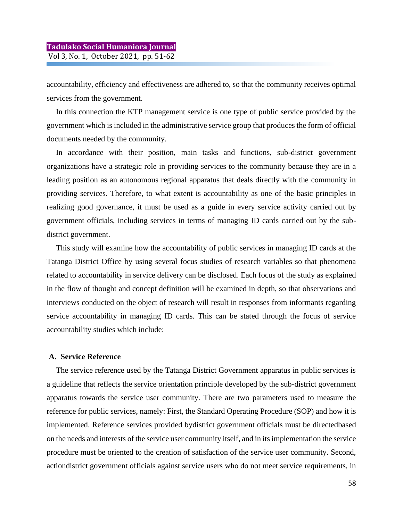accountability, efficiency and effectiveness are adhered to, so that the community receives optimal services from the government.

In this connection the KTP management service is one type of public service provided by the government which is included in the administrative service group that produces the form of official documents needed by the community.

In accordance with their position, main tasks and functions, sub-district government organizations have a strategic role in providing services to the community because they are in a leading position as an autonomous regional apparatus that deals directly with the community in providing services. Therefore, to what extent is accountability as one of the basic principles in realizing good governance, it must be used as a guide in every service activity carried out by government officials, including services in terms of managing ID cards carried out by the subdistrict government.

This study will examine how the accountability of public services in managing ID cards at the Tatanga District Office by using several focus studies of research variables so that phenomena related to accountability in service delivery can be disclosed. Each focus of the study as explained in the flow of thought and concept definition will be examined in depth, so that observations and interviews conducted on the object of research will result in responses from informants regarding service accountability in managing ID cards. This can be stated through the focus of service accountability studies which include:

### **A. Service Reference**

The service reference used by the Tatanga District Government apparatus in public services is a guideline that reflects the service orientation principle developed by the sub-district government apparatus towards the service user community. There are two parameters used to measure the reference for public services, namely: First, the Standard Operating Procedure (SOP) and how it is implemented. Reference services provided bydistrict government officials must be directedbased on the needs and interests of the service user community itself, and in its implementation the service procedure must be oriented to the creation of satisfaction of the service user community. Second, actiondistrict government officials against service users who do not meet service requirements, in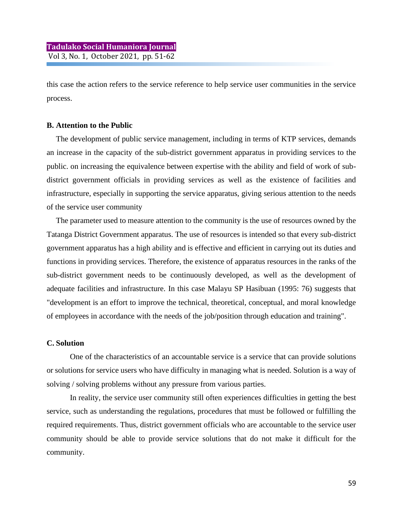this case the action refers to the service reference to help service user communities in the service process.

### **B. Attention to the Public**

The development of public service management, including in terms of KTP services, demands an increase in the capacity of the sub-district government apparatus in providing services to the public. on increasing the equivalence between expertise with the ability and field of work of subdistrict government officials in providing services as well as the existence of facilities and infrastructure, especially in supporting the service apparatus, giving serious attention to the needs of the service user community

The parameter used to measure attention to the community is the use of resources owned by the Tatanga District Government apparatus. The use of resources is intended so that every sub-district government apparatus has a high ability and is effective and efficient in carrying out its duties and functions in providing services. Therefore, the existence of apparatus resources in the ranks of the sub-district government needs to be continuously developed, as well as the development of adequate facilities and infrastructure. In this case Malayu SP Hasibuan (1995: 76) suggests that "development is an effort to improve the technical, theoretical, conceptual, and moral knowledge of employees in accordance with the needs of the job/position through education and training".

#### **C. Solution**

One of the characteristics of an accountable service is a service that can provide solutions or solutions for service users who have difficulty in managing what is needed. Solution is a way of solving / solving problems without any pressure from various parties.

In reality, the service user community still often experiences difficulties in getting the best service, such as understanding the regulations, procedures that must be followed or fulfilling the required requirements. Thus, district government officials who are accountable to the service user community should be able to provide service solutions that do not make it difficult for the community.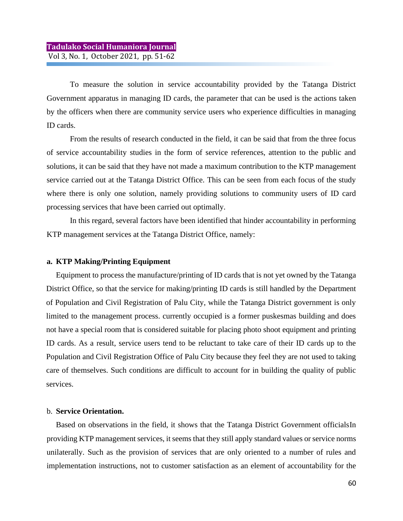To measure the solution in service accountability provided by the Tatanga District Government apparatus in managing ID cards, the parameter that can be used is the actions taken by the officers when there are community service users who experience difficulties in managing ID cards.

From the results of research conducted in the field, it can be said that from the three focus of service accountability studies in the form of service references, attention to the public and solutions, it can be said that they have not made a maximum contribution to the KTP management service carried out at the Tatanga District Office. This can be seen from each focus of the study where there is only one solution, namely providing solutions to community users of ID card processing services that have been carried out optimally.

In this regard, several factors have been identified that hinder accountability in performing KTP management services at the Tatanga District Office, namely:

### **a. KTP Making/Printing Equipment**

Equipment to process the manufacture/printing of ID cards that is not yet owned by the Tatanga District Office, so that the service for making/printing ID cards is still handled by the Department of Population and Civil Registration of Palu City, while the Tatanga District government is only limited to the management process. currently occupied is a former puskesmas building and does not have a special room that is considered suitable for placing photo shoot equipment and printing ID cards. As a result, service users tend to be reluctant to take care of their ID cards up to the Population and Civil Registration Office of Palu City because they feel they are not used to taking care of themselves. Such conditions are difficult to account for in building the quality of public services.

### b. **Service Orientation.**

Based on observations in the field, it shows that the Tatanga District Government officialsIn providing KTP management services, it seems that they still apply standard values or service norms unilaterally. Such as the provision of services that are only oriented to a number of rules and implementation instructions, not to customer satisfaction as an element of accountability for the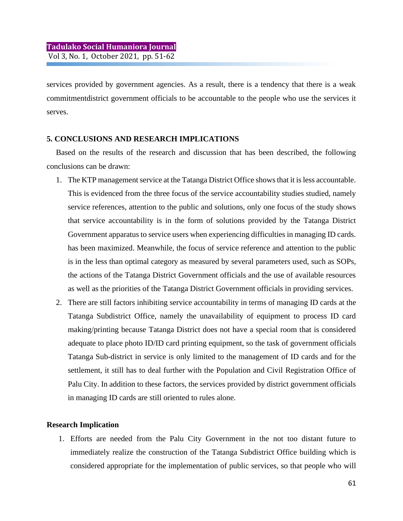services provided by government agencies. As a result, there is a tendency that there is a weak commitmentdistrict government officials to be accountable to the people who use the services it serves.

### **5. CONCLUSIONS AND RESEARCH IMPLICATIONS**

Based on the results of the research and discussion that has been described, the following conclusions can be drawn:

- 1. The KTP management service at the Tatanga District Office shows that it is less accountable. This is evidenced from the three focus of the service accountability studies studied, namely service references, attention to the public and solutions, only one focus of the study shows that service accountability is in the form of solutions provided by the Tatanga District Government apparatus to service users when experiencing difficulties in managing ID cards. has been maximized. Meanwhile, the focus of service reference and attention to the public is in the less than optimal category as measured by several parameters used, such as SOPs, the actions of the Tatanga District Government officials and the use of available resources as well as the priorities of the Tatanga District Government officials in providing services.
- 2. There are still factors inhibiting service accountability in terms of managing ID cards at the Tatanga Subdistrict Office, namely the unavailability of equipment to process ID card making/printing because Tatanga District does not have a special room that is considered adequate to place photo ID/ID card printing equipment, so the task of government officials Tatanga Sub-district in service is only limited to the management of ID cards and for the settlement, it still has to deal further with the Population and Civil Registration Office of Palu City. In addition to these factors, the services provided by district government officials in managing ID cards are still oriented to rules alone.

### **Research Implication**

1. Efforts are needed from the Palu City Government in the not too distant future to immediately realize the construction of the Tatanga Subdistrict Office building which is considered appropriate for the implementation of public services, so that people who will